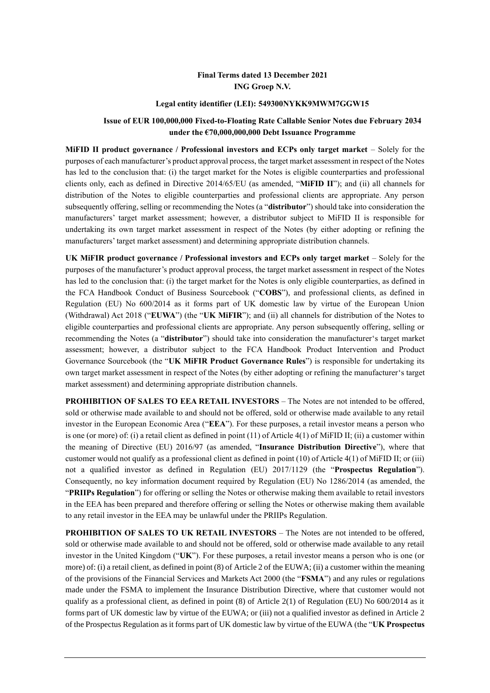### **Final Terms dated 13 December 2021 ING Groep N.V.**

#### **Legal entity identifier (LEI): 549300NYKK9MWM7GGW15**

#### **Issue of EUR 100,000,000 Fixed-to-Floating Rate Callable Senior Notes due February 2034 under the €70,000,000,000 Debt Issuance Programme**

**MiFID II product governance / Professional investors and ECPs only target market** – Solely for the purposes of each manufacturer's product approval process, the target market assessment in respect of the Notes has led to the conclusion that: (i) the target market for the Notes is eligible counterparties and professional clients only, each as defined in Directive 2014/65/EU (as amended, "**MiFID II**"); and (ii) all channels for distribution of the Notes to eligible counterparties and professional clients are appropriate. Any person subsequently offering, selling or recommending the Notes (a "**distributor**") should take into consideration the manufacturers' target market assessment; however, a distributor subject to MiFID II is responsible for undertaking its own target market assessment in respect of the Notes (by either adopting or refining the manufacturers' target market assessment) and determining appropriate distribution channels.

**UK MiFIR product governance / Professional investors and ECPs only target market** – Solely for the purposes of the manufacturer's product approval process, the target market assessment in respect of the Notes has led to the conclusion that: (i) the target market for the Notes is only eligible counterparties, as defined in the FCA Handbook Conduct of Business Sourcebook ("**COBS**"), and professional clients, as defined in Regulation (EU) No 600/2014 as it forms part of UK domestic law by virtue of the European Union (Withdrawal) Act 2018 ("**EUWA**") (the "**UK MiFIR**"); and (ii) all channels for distribution of the Notes to eligible counterparties and professional clients are appropriate. Any person subsequently offering, selling or recommending the Notes (a "**distributor**") should take into consideration the manufacturer's target market assessment; however, a distributor subject to the FCA Handbook Product Intervention and Product Governance Sourcebook (the "**UK MiFIR Product Governance Rules**") is responsible for undertaking its own target market assessment in respect of the Notes (by either adopting or refining the manufacturer's target market assessment) and determining appropriate distribution channels.

**PROHIBITION OF SALES TO EEA RETAIL INVESTORS** – The Notes are not intended to be offered, sold or otherwise made available to and should not be offered, sold or otherwise made available to any retail investor in the European Economic Area ("**EEA**"). For these purposes, a retail investor means a person who is one (or more) of: (i) a retail client as defined in point (11) of Article 4(1) of MiFID II; (ii) a customer within the meaning of Directive (EU) 2016/97 (as amended, "**Insurance Distribution Directive**"), where that customer would not qualify as a professional client as defined in point (10) of Article 4(1) of MiFID II; or (iii) not a qualified investor as defined in Regulation (EU) 2017/1129 (the "**Prospectus Regulation**"). Consequently, no key information document required by Regulation (EU) No 1286/2014 (as amended, the "**PRIIPs Regulation**") for offering or selling the Notes or otherwise making them available to retail investors in the EEA has been prepared and therefore offering or selling the Notes or otherwise making them available to any retail investor in the EEA may be unlawful under the PRIIPs Regulation.

**PROHIBITION OF SALES TO UK RETAIL INVESTORS** – The Notes are not intended to be offered, sold or otherwise made available to and should not be offered, sold or otherwise made available to any retail investor in the United Kingdom ("**UK**"). For these purposes, a retail investor means a person who is one (or more) of: (i) a retail client, as defined in point (8) of Article 2 of the EUWA; (ii) a customer within the meaning of the provisions of the Financial Services and Markets Act 2000 (the "**FSMA**") and any rules or regulations made under the FSMA to implement the Insurance Distribution Directive, where that customer would not qualify as a professional client, as defined in point (8) of Article 2(1) of Regulation (EU) No 600/2014 as it forms part of UK domestic law by virtue of the EUWA; or (iii) not a qualified investor as defined in Article 2 of the Prospectus Regulation as it forms part of UK domestic law by virtue of the EUWA (the "**UK Prospectus**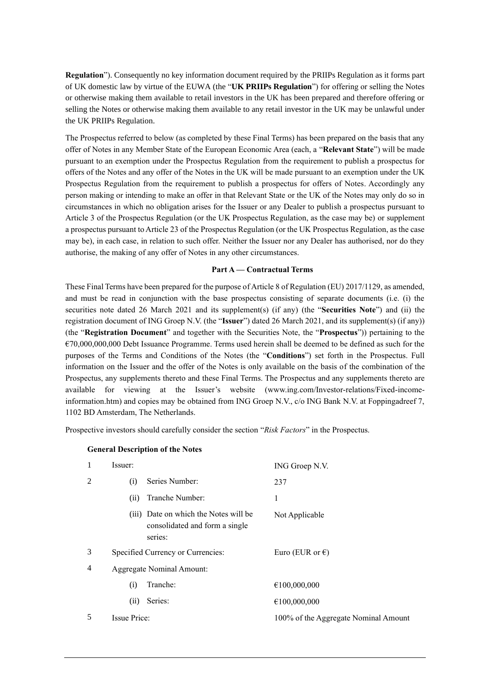**Regulation**"). Consequently no key information document required by the PRIIPs Regulation as it forms part of UK domestic law by virtue of the EUWA (the "**UK PRIIPs Regulation**") for offering or selling the Notes or otherwise making them available to retail investors in the UK has been prepared and therefore offering or selling the Notes or otherwise making them available to any retail investor in the UK may be unlawful under the UK PRIIPs Regulation.

The Prospectus referred to below (as completed by these Final Terms) has been prepared on the basis that any offer of Notes in any Member State of the European Economic Area (each, a "**Relevant State**") will be made pursuant to an exemption under the Prospectus Regulation from the requirement to publish a prospectus for offers of the Notes and any offer of the Notes in the UK will be made pursuant to an exemption under the UK Prospectus Regulation from the requirement to publish a prospectus for offers of Notes. Accordingly any person making or intending to make an offer in that Relevant State or the UK of the Notes may only do so in circumstances in which no obligation arises for the Issuer or any Dealer to publish a prospectus pursuant to Article 3 of the Prospectus Regulation (or the UK Prospectus Regulation, as the case may be) or supplement a prospectus pursuant to Article 23 of the Prospectus Regulation (or the UK Prospectus Regulation, as the case may be), in each case, in relation to such offer. Neither the Issuer nor any Dealer has authorised, nor do they authorise, the making of any offer of Notes in any other circumstances.

#### **Part A — Contractual Terms**

These Final Terms have been prepared for the purpose of Article 8 of Regulation (EU) 2017/1129, as amended, and must be read in conjunction with the base prospectus consisting of separate documents (i.e. (i) the securities note dated 26 March 2021 and its supplement(s) (if any) (the "**Securities Note**") and (ii) the registration document of ING Groep N.V. (the "**Issuer**") dated 26 March 2021, and its supplement(s) (if any)) (the "**Registration Document**" and together with the Securities Note, the "**Prospectus**")) pertaining to the  $\epsilon$ 70,000,000,000 Debt Issuance Programme. Terms used herein shall be deemed to be defined as such for the purposes of the Terms and Conditions of the Notes (the "**Conditions**") set forth in the Prospectus. Full information on the Issuer and the offer of the Notes is only available on the basis of the combination of the Prospectus, any supplements thereto and these Final Terms. The Prospectus and any supplements thereto are available for viewing at the Issuer's website (www.ing.com/Investor-relations/Fixed-incomeinformation.htm) and copies may be obtained from ING Groep N.V., c/o ING Bank N.V. at Foppingadreef 7, 1102 BD Amsterdam, The Netherlands.

Prospective investors should carefully consider the section "*Risk Factors*" in the Prospectus.

#### **General Description of the Notes**

| 1 | Issuer:                   |                                                                                    | ING Groep N.V.                       |
|---|---------------------------|------------------------------------------------------------------------------------|--------------------------------------|
| 2 | (i)                       | Series Number:                                                                     | 237                                  |
|   | (ii)                      | Tranche Number:                                                                    | 1                                    |
|   |                           | (iii) Date on which the Notes will be<br>consolidated and form a single<br>series: | Not Applicable                       |
| 3 |                           | Specified Currency or Currencies:                                                  | Euro (EUR or $\epsilon$ )            |
| 4 | Aggregate Nominal Amount: |                                                                                    |                                      |
|   | (i)                       | Tranche:                                                                           | €100,000,000                         |
|   | (i)                       | Series:                                                                            | €100,000,000                         |
| 5 | Issue Price:              |                                                                                    | 100% of the Aggregate Nominal Amount |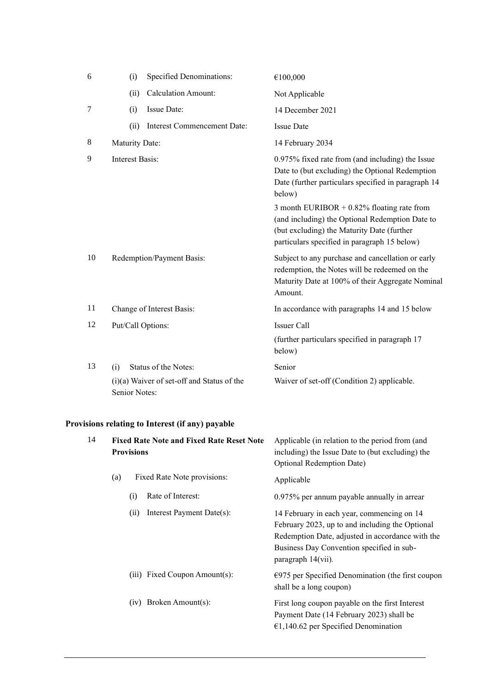| 6              | (i)                    | <b>Specified Denominations:</b>            | €100,000                                                                                                                                                                                      |
|----------------|------------------------|--------------------------------------------|-----------------------------------------------------------------------------------------------------------------------------------------------------------------------------------------------|
|                | (ii)                   | <b>Calculation Amount:</b>                 | Not Applicable                                                                                                                                                                                |
| $\overline{7}$ | (i)                    | Issue Date:                                | 14 December 2021                                                                                                                                                                              |
|                | (ii)                   | Interest Commencement Date:                | <b>Issue Date</b>                                                                                                                                                                             |
| 8              | Maturity Date:         |                                            | 14 February 2034                                                                                                                                                                              |
| 9              | <b>Interest Basis:</b> |                                            | 0.975% fixed rate from (and including) the Issue<br>Date to (but excluding) the Optional Redemption<br>Date (further particulars specified in paragraph 14<br>below)                          |
|                |                        |                                            | 3 month EURIBOR $+$ 0.82% floating rate from<br>(and including) the Optional Redemption Date to<br>(but excluding) the Maturity Date (further<br>particulars specified in paragraph 15 below) |
| 10             |                        | Redemption/Payment Basis:                  | Subject to any purchase and cancellation or early<br>redemption, the Notes will be redeemed on the<br>Maturity Date at 100% of their Aggregate Nominal<br>Amount.                             |
| 11             |                        | Change of Interest Basis:                  | In accordance with paragraphs 14 and 15 below                                                                                                                                                 |
| 12             | Put/Call Options:      |                                            | Issuer Call                                                                                                                                                                                   |
|                |                        |                                            | (further particulars specified in paragraph 17<br>below)                                                                                                                                      |
| 13             | (i)                    | Status of the Notes:                       | Senior                                                                                                                                                                                        |
|                | Senior Notes:          | (i)(a) Waiver of set-off and Status of the | Waiver of set-off (Condition 2) applicable.                                                                                                                                                   |

# **Provisions relating to Interest (if any) payable**

| 14 | <b>Fixed Rate Note and Fixed Rate Reset Note</b><br><b>Provisions</b> |      |                               | Applicable (in relation to the period from (and<br>including) the Issue Date to (but excluding) the<br>Optional Redemption Date)                                                                                     |
|----|-----------------------------------------------------------------------|------|-------------------------------|----------------------------------------------------------------------------------------------------------------------------------------------------------------------------------------------------------------------|
|    | (a)                                                                   |      | Fixed Rate Note provisions:   | Applicable                                                                                                                                                                                                           |
|    |                                                                       | (i)  | Rate of Interest:             | 0.975% per annum payable annually in arrear                                                                                                                                                                          |
|    |                                                                       | (ii) | Interest Payment Date(s):     | 14 February in each year, commencing on 14<br>February 2023, up to and including the Optional<br>Redemption Date, adjusted in accordance with the<br>Business Day Convention specified in sub-<br>paragraph 14(vii). |
|    |                                                                       |      | (iii) Fixed Coupon Amount(s): | $\epsilon$ 975 per Specified Denomination (the first coupon<br>shall be a long coupon)                                                                                                                               |
|    |                                                                       |      | $(iv)$ Broken Amount $(s)$ :  | First long coupon payable on the first Interest<br>Payment Date (14 February 2023) shall be<br>$€1,140.62$ per Specified Denomination                                                                                |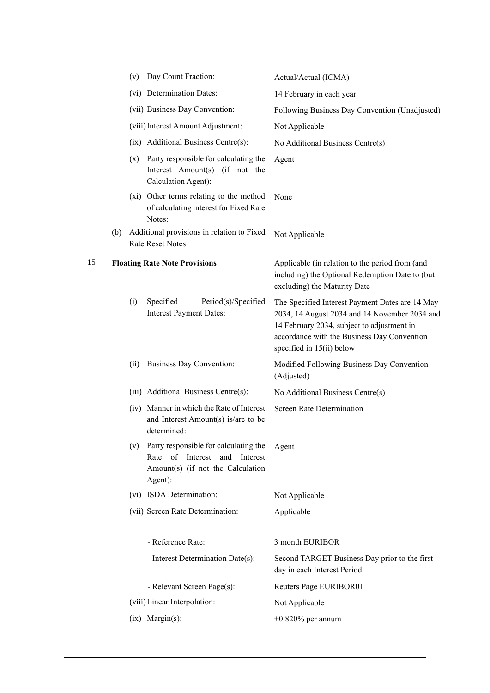|    |     | (v)  | Day Count Fraction:                                                                                                    | Actual/Actual (ICMA)                                                                                                                                                                                                         |
|----|-----|------|------------------------------------------------------------------------------------------------------------------------|------------------------------------------------------------------------------------------------------------------------------------------------------------------------------------------------------------------------------|
|    |     |      | (vi) Determination Dates:                                                                                              | 14 February in each year                                                                                                                                                                                                     |
|    |     |      | (vii) Business Day Convention:                                                                                         | Following Business Day Convention (Unadjusted)                                                                                                                                                                               |
|    |     |      | (viii) Interest Amount Adjustment:                                                                                     | Not Applicable                                                                                                                                                                                                               |
|    |     |      | (ix) Additional Business Centre(s):                                                                                    | No Additional Business Centre(s)                                                                                                                                                                                             |
|    |     | (x)  | Party responsible for calculating the<br>Interest Amount(s) (if not the<br>Calculation Agent):                         | Agent                                                                                                                                                                                                                        |
|    |     |      | (xi) Other terms relating to the method<br>of calculating interest for Fixed Rate<br>Notes:                            | None                                                                                                                                                                                                                         |
|    | (b) |      | Additional provisions in relation to Fixed<br><b>Rate Reset Notes</b>                                                  | Not Applicable                                                                                                                                                                                                               |
| 15 |     |      | <b>Floating Rate Note Provisions</b>                                                                                   | Applicable (in relation to the period from (and<br>including) the Optional Redemption Date to (but<br>excluding) the Maturity Date                                                                                           |
|    |     | (i)  | Specified<br>Period(s)/Specified<br>Interest Payment Dates:                                                            | The Specified Interest Payment Dates are 14 May<br>2034, 14 August 2034 and 14 November 2034 and<br>14 February 2034, subject to adjustment in<br>accordance with the Business Day Convention<br>specified in $15(ii)$ below |
|    |     | (ii) | Business Day Convention:                                                                                               | Modified Following Business Day Convention<br>(Adjusted)                                                                                                                                                                     |
|    |     |      | (iii) Additional Business Centre(s):                                                                                   | No Additional Business Centre(s)                                                                                                                                                                                             |
|    |     |      | (iv) Manner in which the Rate of Interest<br>and Interest Amount(s) is/are to be<br>determined:                        | <b>Screen Rate Determination</b>                                                                                                                                                                                             |
|    |     | (V)  | Party responsible for calculating the<br>Rate of Interest and Interest<br>Amount(s) (if not the Calculation<br>Agent): | Agent                                                                                                                                                                                                                        |
|    |     |      | (vi) ISDA Determination:                                                                                               | Not Applicable                                                                                                                                                                                                               |
|    |     |      | (vii) Screen Rate Determination:                                                                                       | Applicable                                                                                                                                                                                                                   |
|    |     |      | - Reference Rate:                                                                                                      | 3 month EURIBOR                                                                                                                                                                                                              |
|    |     |      | - Interest Determination Date(s):                                                                                      | Second TARGET Business Day prior to the first<br>day in each Interest Period                                                                                                                                                 |
|    |     |      | - Relevant Screen Page(s):                                                                                             | Reuters Page EURIBOR01                                                                                                                                                                                                       |
|    |     |      | (viii) Linear Interpolation:                                                                                           | Not Applicable                                                                                                                                                                                                               |
|    |     |      | $(ix)$ Margin $(s)$ :                                                                                                  | $+0.820\%$ per annum                                                                                                                                                                                                         |
|    |     |      |                                                                                                                        |                                                                                                                                                                                                                              |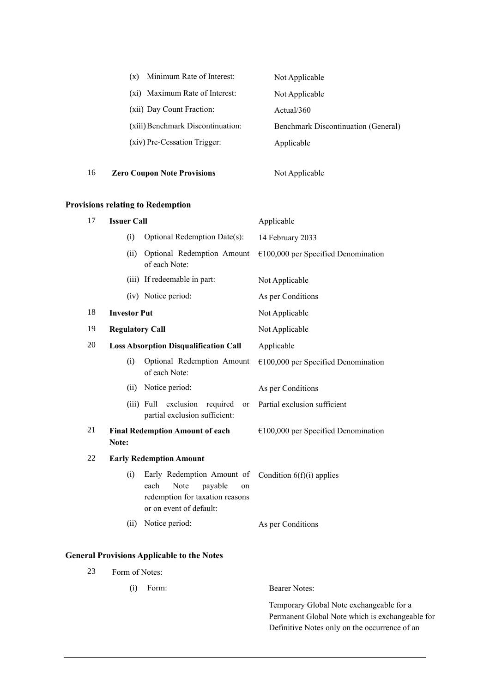| Minimum Rate of Interest:<br>$(\mathbf{x})$ | Not Applicable                             |
|---------------------------------------------|--------------------------------------------|
| (xi) Maximum Rate of Interest:              | Not Applicable                             |
| (xii) Day Count Fraction:                   | Actual/360                                 |
| (xiii) Benchmark Discontinuation:           | <b>Benchmark Discontinuation (General)</b> |
| (xiv) Pre-Cessation Trigger:                | Applicable                                 |
|                                             |                                            |

# 16 **Zero Coupon Note Provisions** Not Applicable

## **Provisions relating to Redemption**

| 17 | <b>Issuer Call</b>                           |                                                                                                                           | Applicable                            |
|----|----------------------------------------------|---------------------------------------------------------------------------------------------------------------------------|---------------------------------------|
|    | (i)                                          | Optional Redemption Date(s):                                                                                              | 14 February 2033                      |
|    | (ii)                                         | Optional Redemption Amount<br>of each Note:                                                                               | $€100,000$ per Specified Denomination |
|    |                                              | (iii) If redeemable in part:                                                                                              | Not Applicable                        |
|    |                                              | (iv) Notice period:                                                                                                       | As per Conditions                     |
| 18 | <b>Investor Put</b>                          |                                                                                                                           | Not Applicable                        |
| 19 | <b>Regulatory Call</b>                       |                                                                                                                           | Not Applicable                        |
| 20 | <b>Loss Absorption Disqualification Call</b> |                                                                                                                           | Applicable                            |
|    | (i)                                          | Optional Redemption Amount<br>of each Note:                                                                               | $€100,000$ per Specified Denomination |
|    | (ii)                                         | Notice period:                                                                                                            | As per Conditions                     |
|    |                                              | exclusion<br>(iii) Full<br>required<br>or<br>partial exclusion sufficient:                                                | Partial exclusion sufficient          |
| 21 | Note:                                        | <b>Final Redemption Amount of each</b>                                                                                    | $€100,000$ per Specified Denomination |
| 22 |                                              | <b>Early Redemption Amount</b>                                                                                            |                                       |
|    | (i)                                          | Early Redemption Amount of<br>Note<br>each<br>payable<br>on<br>redemption for taxation reasons<br>or on event of default: | Condition $6(f)(i)$ applies           |
|    | (ii)                                         | Notice period:                                                                                                            | As per Conditions                     |

### **General Provisions Applicable to the Notes**

23 Form of Notes:

(i) Form: Bearer Notes:

Temporary Global Note exchangeable for a Permanent Global Note which is exchangeable for Definitive Notes only on the occurrence of an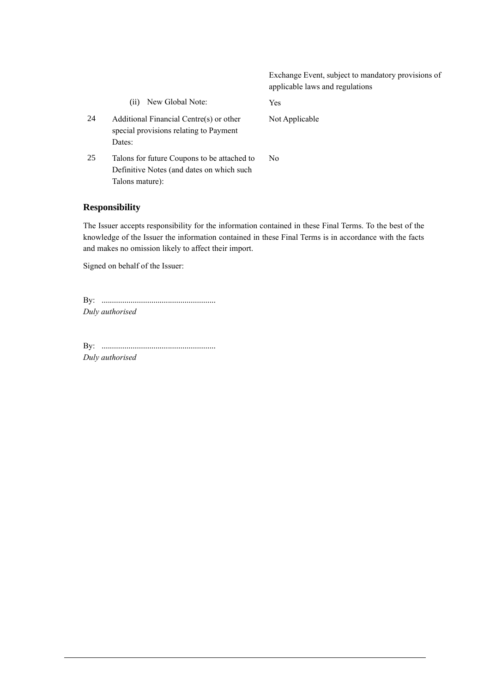Exchange Event, subject to mandatory provisions of applicable laws and regulations (ii) New Global Note: Yes 24 Additional Financial Centre(s) or other special provisions relating to Payment Dates: Not Applicable 25 Talons for future Coupons to be attached to Definitive Notes (and dates on which such Talons mature): No

### **Responsibility**

The Issuer accepts responsibility for the information contained in these Final Terms. To the best of the knowledge of the Issuer the information contained in these Final Terms is in accordance with the facts and makes no omission likely to affect their import.

Signed on behalf of the Issuer:

By: ....................................................... *Duly authorised*

By: ....................................................... *Duly authorised*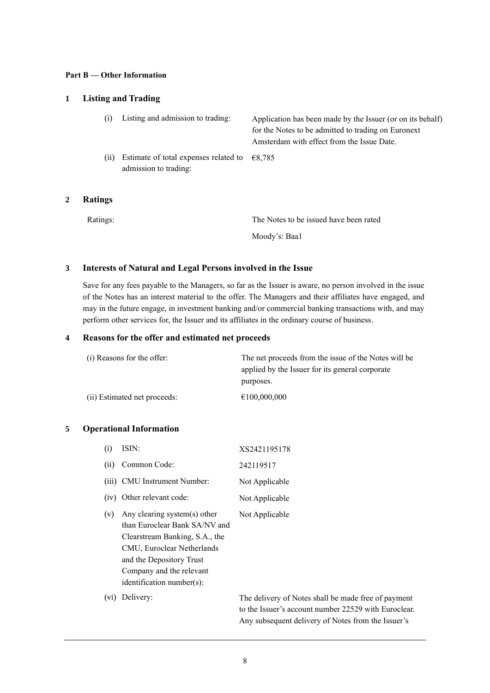#### **Part B — Other Information**

### **1 Listing and Trading**

| (i)  | Listing and admission to trading:                              | Application has been made by the Issuer (or on its behalf)<br>for the Notes to be admitted to trading on Euronext<br>Amsterdam with effect from the Issue Date. |
|------|----------------------------------------------------------------|-----------------------------------------------------------------------------------------------------------------------------------------------------------------|
| (ii) | Estimate of total expenses related to<br>admission to trading: | €8.785                                                                                                                                                          |

#### **2 Ratings**

The Notes to be issued have been rated Moody's: Baa1

### **3 Interests of Natural and Legal Persons involved in the Issue**

Save for any fees payable to the Managers, so far as the Issuer is aware, no person involved in the issue of the Notes has an interest material to the offer. The Managers and their affiliates have engaged, and may in the future engage, in investment banking and/or commercial banking transactions with, and may perform other services for, the Issuer and its affiliates in the ordinary course of business.

### **4 Reasons for the offer and estimated net proceeds**

| (i) Reasons for the offer:   | The net proceeds from the issue of the Notes will be<br>applied by the Issuer for its general corporate |
|------------------------------|---------------------------------------------------------------------------------------------------------|
|                              | purposes.                                                                                               |
| (ii) Estimated net proceeds: | €100,000,000                                                                                            |

### **5 Operational Information**

| (i)  | ISIN:                                                                                                                         | XS2421195178   |
|------|-------------------------------------------------------------------------------------------------------------------------------|----------------|
| (ii) | Common Code:                                                                                                                  | 242119517      |
|      | (iii) CMU Instrument Number:                                                                                                  | Not Applicable |
|      | (iv) Other relevant code:                                                                                                     | Not Applicable |
| (v)  | Any clearing system(s) other<br>than Euroclear Bank SA/NV and<br>Clearstream Banking, S.A., the<br>CMU, Euroclear Netherlands | Not Applicable |

and the Depository Trust Company and the relevant identification number(s):

(vi) Delivery: The delivery of Notes shall be made free of payment to the Issuer's account number 22529 with Euroclear. Any subsequent delivery of Notes from the Issuer's